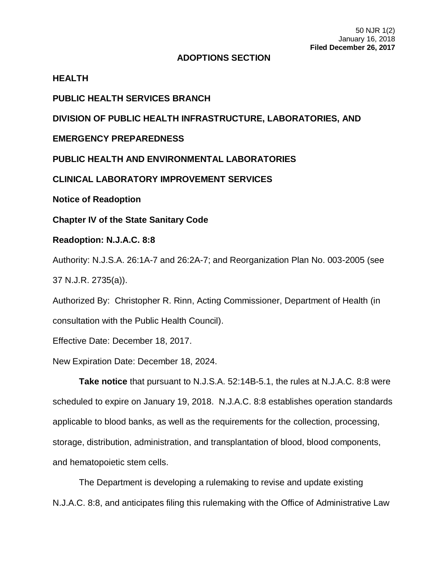## **ADOPTIONS SECTION**

## **HEALTH**

**PUBLIC HEALTH SERVICES BRANCH**

**DIVISION OF PUBLIC HEALTH INFRASTRUCTURE, LABORATORIES, AND** 

**EMERGENCY PREPAREDNESS**

**PUBLIC HEALTH AND ENVIRONMENTAL LABORATORIES**

**CLINICAL LABORATORY IMPROVEMENT SERVICES**

**Notice of Readoption**

**Chapter IV of the State Sanitary Code**

## **Readoption: N.J.A.C. 8:8**

Authority: N.J.S.A. 26:1A-7 and 26:2A-7; and Reorganization Plan No. 003-2005 (see 37 N.J.R. 2735(a)).

Authorized By: Christopher R. Rinn, Acting Commissioner, Department of Health (in consultation with the Public Health Council).

Effective Date: December 18, 2017.

New Expiration Date: December 18, 2024.

**Take notice** that pursuant to N.J.S.A. 52:14B-5.1, the rules at N.J.A.C. 8:8 were scheduled to expire on January 19, 2018. N.J.A.C. 8:8 establishes operation standards applicable to blood banks, as well as the requirements for the collection, processing, storage, distribution, administration, and transplantation of blood, blood components, and hematopoietic stem cells.

The Department is developing a rulemaking to revise and update existing N.J.A.C. 8:8, and anticipates filing this rulemaking with the Office of Administrative Law